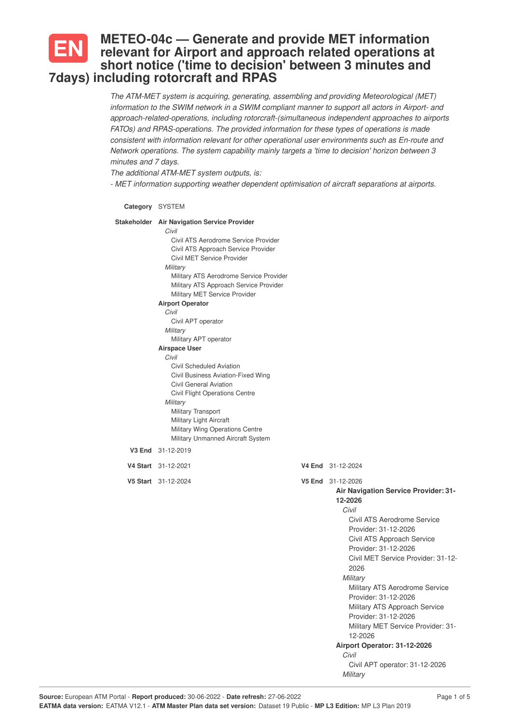## **METEO-04c — Generate and provide MET information relevant for Airport and approach related operations at short notice ('time to decision' between 3 minutes and 7days) including rotorcraft and RPAS**

*The ATM-MET system is acquiring, generating, assembling and providing Meteorological (MET) information to the SWIM network in a SWIM compliant manner to support all actors in Airport- and approach-related-operations, including rotorcraft-(simultaneous independent approaches to airports FATOs) and RPAS-operations. The provided information for these types of operations is made consistent with information relevant for other operational user environments such as En-route and Network operations. The system capability mainly targets a 'time to decision' horizon between 3 minutes and 7 days.*

*The additional ATM-MET system outputs, is:*

*- MET information supporting weather dependent optimisation of aircraft separations at airports.*

| Category SYSTEM                                                                                                                                                                                                                                                                                                                                                                                                                                                                                                                                                                                                                                                                                                      |                                                                                                                                                                                                                                                                                                                                                                                                                                                                                                                        |
|----------------------------------------------------------------------------------------------------------------------------------------------------------------------------------------------------------------------------------------------------------------------------------------------------------------------------------------------------------------------------------------------------------------------------------------------------------------------------------------------------------------------------------------------------------------------------------------------------------------------------------------------------------------------------------------------------------------------|------------------------------------------------------------------------------------------------------------------------------------------------------------------------------------------------------------------------------------------------------------------------------------------------------------------------------------------------------------------------------------------------------------------------------------------------------------------------------------------------------------------------|
| Stakeholder Air Navigation Service Provider<br>Civil<br>Civil ATS Aerodrome Service Provider<br>Civil ATS Approach Service Provider<br>Civil MET Service Provider<br>Military<br>Military ATS Aerodrome Service Provider<br>Military ATS Approach Service Provider<br>Military MET Service Provider<br><b>Airport Operator</b><br>Civil<br>Civil APT operator<br>Military<br>Military APT operator<br><b>Airspace User</b><br>Civil<br>Civil Scheduled Aviation<br>Civil Business Aviation-Fixed Wing<br><b>Civil General Aviation</b><br>Civil Flight Operations Centre<br>Military<br>Military Transport<br><b>Military Light Aircraft</b><br>Military Wing Operations Centre<br>Military Unmanned Aircraft System |                                                                                                                                                                                                                                                                                                                                                                                                                                                                                                                        |
| V3 End 31-12-2019                                                                                                                                                                                                                                                                                                                                                                                                                                                                                                                                                                                                                                                                                                    |                                                                                                                                                                                                                                                                                                                                                                                                                                                                                                                        |
| V4 Start 31-12-2021                                                                                                                                                                                                                                                                                                                                                                                                                                                                                                                                                                                                                                                                                                  | V4 End 31-12-2024                                                                                                                                                                                                                                                                                                                                                                                                                                                                                                      |
| V5 Start 31-12-2024                                                                                                                                                                                                                                                                                                                                                                                                                                                                                                                                                                                                                                                                                                  | V5 End 31-12-2026<br><b>Air Navigation Service Provider: 31-</b><br>12-2026<br>Civil<br>Civil ATS Aerodrome Service<br>Provider: 31-12-2026<br>Civil ATS Approach Service<br>Provider: 31-12-2026<br>Civil MET Service Provider: 31-12-<br>2026<br>Military<br>Military ATS Aerodrome Service<br>Provider: 31-12-2026<br>Military ATS Approach Service<br>Provider: 31-12-2026<br>Military MET Service Provider: 31-<br>12-2026<br>Airport Operator: 31-12-2026<br>Civil<br>Civil APT operator: 31-12-2026<br>Military |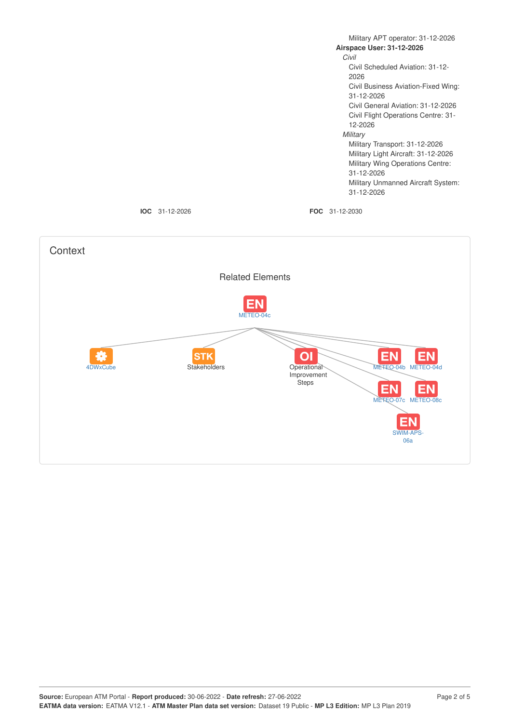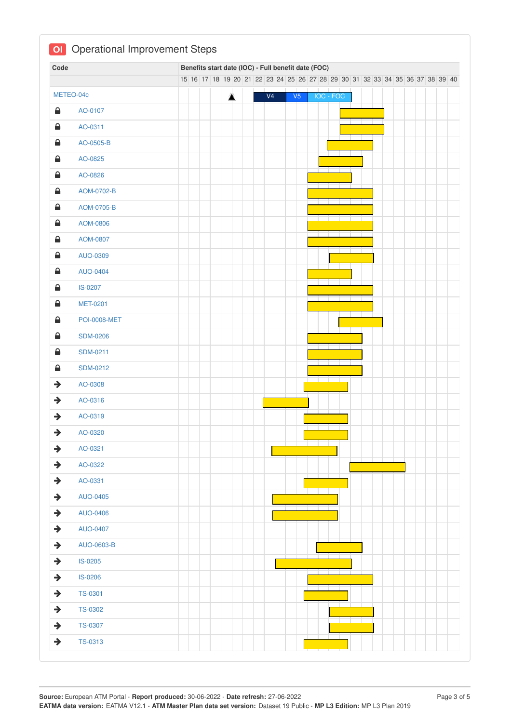| Code          |                     |  | Benefits start date (IOC) - Full benefit date (FOC)                           |   |  |                |                |           |  |  |  |  |  |  |
|---------------|---------------------|--|-------------------------------------------------------------------------------|---|--|----------------|----------------|-----------|--|--|--|--|--|--|
|               |                     |  | 15 16 17 18 19 20 21 22 23 24 25 26 27 28 29 30 31 32 33 34 35 36 37 38 39 40 |   |  |                |                |           |  |  |  |  |  |  |
|               | METEO-04c           |  |                                                                               | 盒 |  | V <sub>4</sub> | V <sub>5</sub> | IOC - FOC |  |  |  |  |  |  |
| ≙             | AO-0107             |  |                                                                               |   |  |                |                |           |  |  |  |  |  |  |
| $\triangle$   | AO-0311             |  |                                                                               |   |  |                |                |           |  |  |  |  |  |  |
| ≙             | AO-0505-B           |  |                                                                               |   |  |                |                |           |  |  |  |  |  |  |
| ≙             | AO-0825             |  |                                                                               |   |  |                |                |           |  |  |  |  |  |  |
| $\triangleq$  | AO-0826             |  |                                                                               |   |  |                |                |           |  |  |  |  |  |  |
| $\triangle$   | AOM-0702-B          |  |                                                                               |   |  |                |                |           |  |  |  |  |  |  |
| $\triangleq$  | AOM-0705-B          |  |                                                                               |   |  |                |                |           |  |  |  |  |  |  |
| €             | AOM-0806            |  |                                                                               |   |  |                |                |           |  |  |  |  |  |  |
| $\triangleq$  | AOM-0807            |  |                                                                               |   |  |                |                |           |  |  |  |  |  |  |
| €             | AUO-0309            |  |                                                                               |   |  |                |                |           |  |  |  |  |  |  |
| $\triangle$   | <b>AUO-0404</b>     |  |                                                                               |   |  |                |                |           |  |  |  |  |  |  |
| $\triangleq$  | IS-0207             |  |                                                                               |   |  |                |                |           |  |  |  |  |  |  |
| $\triangleq$  | <b>MET-0201</b>     |  |                                                                               |   |  |                |                |           |  |  |  |  |  |  |
| ≙             | <b>POI-0008-MET</b> |  |                                                                               |   |  |                |                |           |  |  |  |  |  |  |
| $\triangleq$  | <b>SDM-0206</b>     |  |                                                                               |   |  |                |                |           |  |  |  |  |  |  |
| €             | <b>SDM-0211</b>     |  |                                                                               |   |  |                |                |           |  |  |  |  |  |  |
| $\triangle$   | <b>SDM-0212</b>     |  |                                                                               |   |  |                |                |           |  |  |  |  |  |  |
| $\rightarrow$ | AO-0308             |  |                                                                               |   |  |                |                |           |  |  |  |  |  |  |
| $\rightarrow$ | AO-0316             |  |                                                                               |   |  |                |                |           |  |  |  |  |  |  |
| $\rightarrow$ | AO-0319             |  |                                                                               |   |  |                |                |           |  |  |  |  |  |  |
| $\rightarrow$ | AO-0320             |  |                                                                               |   |  |                |                |           |  |  |  |  |  |  |
| $\rightarrow$ | AO-0321             |  |                                                                               |   |  |                |                |           |  |  |  |  |  |  |
| $\rightarrow$ | AO-0322             |  |                                                                               |   |  |                |                |           |  |  |  |  |  |  |
| $\rightarrow$ | AO-0331             |  |                                                                               |   |  |                |                |           |  |  |  |  |  |  |
| $\rightarrow$ | <b>AUO-0405</b>     |  |                                                                               |   |  |                |                |           |  |  |  |  |  |  |
| $\rightarrow$ | AUO-0406            |  |                                                                               |   |  |                |                |           |  |  |  |  |  |  |
| $\rightarrow$ | <b>AUO-0407</b>     |  |                                                                               |   |  |                |                |           |  |  |  |  |  |  |
| $\rightarrow$ | AUO-0603-B          |  |                                                                               |   |  |                |                |           |  |  |  |  |  |  |
| $\rightarrow$ | IS-0205             |  |                                                                               |   |  |                |                |           |  |  |  |  |  |  |
| $\rightarrow$ | IS-0206             |  |                                                                               |   |  |                |                |           |  |  |  |  |  |  |
| $\rightarrow$ | <b>TS-0301</b>      |  |                                                                               |   |  |                |                |           |  |  |  |  |  |  |
| $\rightarrow$ | <b>TS-0302</b>      |  |                                                                               |   |  |                |                |           |  |  |  |  |  |  |
| $\rightarrow$ | <b>TS-0307</b>      |  |                                                                               |   |  |                |                |           |  |  |  |  |  |  |
| $\rightarrow$ | TS-0313             |  |                                                                               |   |  |                |                |           |  |  |  |  |  |  |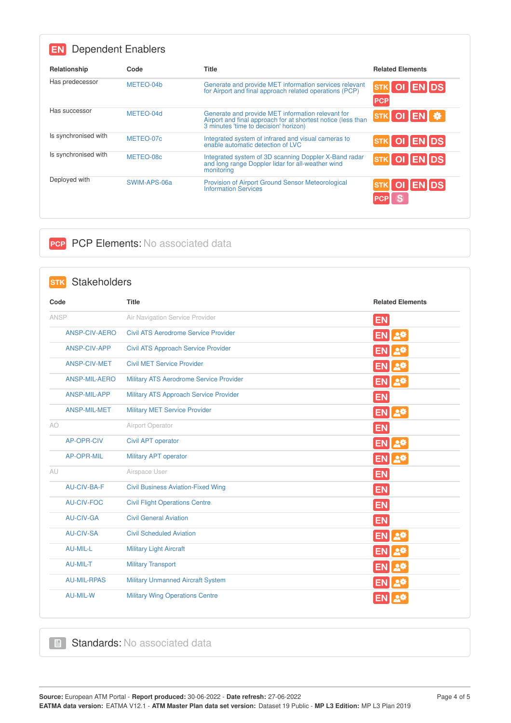| <b>Dependent Enablers</b> |              |                                                                                                                                                            |                           |
|---------------------------|--------------|------------------------------------------------------------------------------------------------------------------------------------------------------------|---------------------------|
| Relationship              | Code         | <b>Title</b>                                                                                                                                               | <b>Related Elements</b>   |
| Has predecessor           | METEO-04b    | Generate and provide MET information services relevant<br>for Airport and final approach related operations (PCP)                                          | STK OI ENDS<br><b>PCP</b> |
| Has successor             | METEO-04d    | Generate and provide MET information relevant for<br>Airport and final approach for at shortest notice (less than<br>3 minutes 'time to decision' horizon) | STK OI EN #               |
| Is synchronised with      | METEO-07c    | Integrated system of infrared and visual cameras to<br>enable automatic detection of LVC                                                                   | STK OI ENDS               |
| Is synchronised with      | METEO-08c    | Integrated system of 3D scanning Doppler X-Band radar<br>and long range Doppler lidar for all-weather wind<br>monitoring                                   | STK OI ENDS               |
| Deployed with             | SWIM-APS-06a | <b>Provision of Airport Ground Sensor Meteorological</b><br><b>Information Services</b>                                                                    | OI EN DS                  |

## **PCP PCP Elements: No associated data**

| <b>Stakeholders</b><br><b>STK</b> |                                             |                         |
|-----------------------------------|---------------------------------------------|-------------------------|
| Code                              | <b>Title</b>                                | <b>Related Elements</b> |
| ANSP                              | Air Navigation Service Provider             | <b>EN</b>               |
| <b>ANSP-CIV-AERO</b>              | <b>Civil ATS Aerodrome Service Provider</b> | 스츄<br><b>EN</b>         |
| ANSP-CIV-APP                      | <b>Civil ATS Approach Service Provider</b>  |                         |
| ANSP-CIV-MET                      | <b>Civil MET Service Provider</b>           | _여                      |
| <b>ANSP-MIL-AERO</b>              | Military ATS Aerodrome Service Provider     | <b>EN</b><br>스츄         |
| ANSP-MIL-APP                      | Military ATS Approach Service Provider      | <b>EN</b>               |
| ANSP-MIL-MET                      | <b>Military MET Service Provider</b>        | EN 2*                   |
| AO                                | Airport Operator                            | <b>EN</b>               |
| <b>AP-OPR-CIV</b>                 | Civil APT operator                          | 스차<br>EN.               |
| <b>AP-OPR-MIL</b>                 | Military APT operator                       | EN 2*                   |
| AU                                | Airspace User                               | <b>EN</b>               |
| <b>AU-CIV-BA-F</b>                | <b>Civil Business Aviation-Fixed Wing</b>   | <b>EN</b>               |
| <b>AU-CIV-FOC</b>                 | <b>Civil Flight Operations Centre</b>       | <b>EN</b>               |
| <b>AU-CIV-GA</b>                  | <b>Civil General Aviation</b>               | <b>EN</b>               |
| <b>AU-CIV-SA</b>                  | <b>Civil Scheduled Aviation</b>             | 忌弊<br><b>EN</b>         |
| <b>AU-MIL-L</b>                   | <b>Military Light Aircraft</b>              | EN.                     |
| AU-MIL-T                          | <b>Military Transport</b>                   |                         |
| <b>AU-MIL-RPAS</b>                | <b>Military Unmanned Aircraft System</b>    |                         |
| <b>AU-MIL-W</b>                   | <b>Military Wing Operations Centre</b>      |                         |

Standards: No associated data